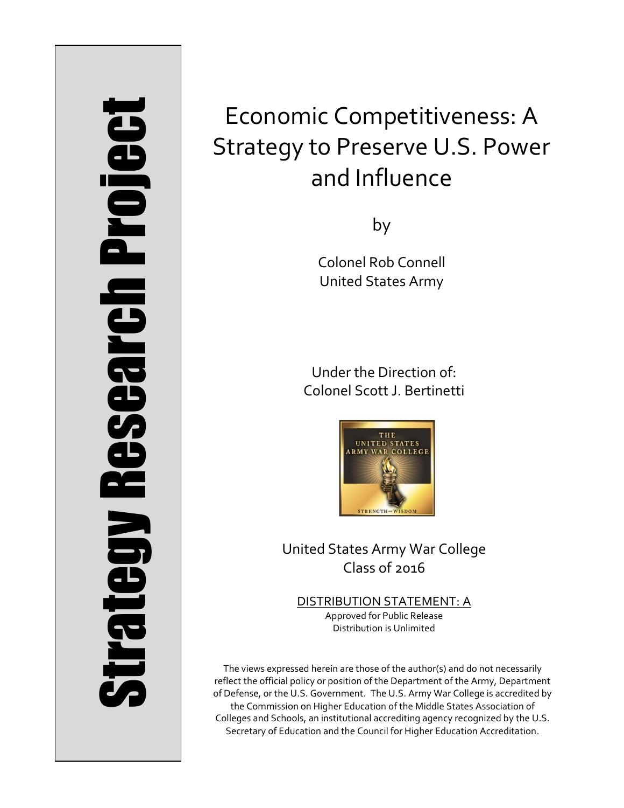# Strategy Research Project **Strategy Research Project**

# Economic Competitiveness: A Strategy to Preserve U.S. Power and Influence

by

Colonel Rob Connell United States Army

Under the Direction of: Colonel Scott J. Bertinetti



United States Army War College Class of 2016

DISTRIBUTION STATEMENT: A Approved for Public Release Distribution is Unlimited

The views expressed herein are those of the author(s) and do not necessarily reflect the official policy or position of the Department of the Army, Department of Defense, or the U.S. Government. The U.S. Army War College is accredited by the Commission on Higher Education of the Middle States Association of Colleges and Schools, an institutional accrediting agency recognized by the U.S. Secretary of Education and the Council for Higher Education Accreditation.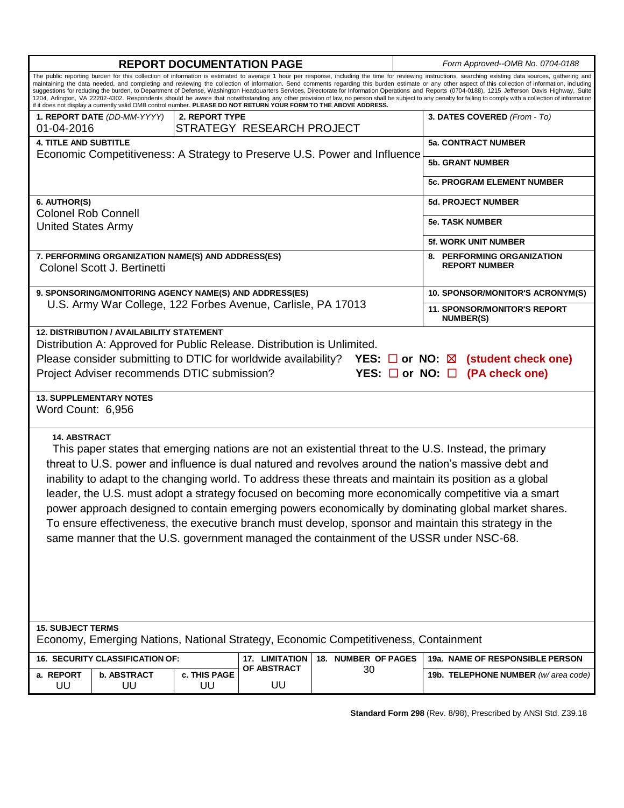| <b>REPORT DOCUMENTATION PAGE</b>                                                                                                                                                                                                                                                                                                                                                                                                                                                                                                                                                                                                                                                                                                                                                                                                                                                                                                                                  |                    |              |             |    |  | Form Approved--OMB No. 0704-0188                        |  |
|-------------------------------------------------------------------------------------------------------------------------------------------------------------------------------------------------------------------------------------------------------------------------------------------------------------------------------------------------------------------------------------------------------------------------------------------------------------------------------------------------------------------------------------------------------------------------------------------------------------------------------------------------------------------------------------------------------------------------------------------------------------------------------------------------------------------------------------------------------------------------------------------------------------------------------------------------------------------|--------------------|--------------|-------------|----|--|---------------------------------------------------------|--|
| The public reporting burden for this collection of information is estimated to average 1 hour per response, including the time for reviewing instructions, searching existing data sources, gathering and<br>maintaining the data needed, and completing and reviewing the collection of information. Send comments regarding this burden estimate or any other aspect of this collection of information, including<br>suggestions for reducing the burden, to Department of Defense, Washington Headquarters Services, Directorate for Information Operations and Reports (0704-0188), 1215 Jefferson Davis Highway, Suite<br>1204, Arlington, VA 22202-4302. Respondents should be aware that notwithstanding any other provision of law, no person shall be subject to any penalty for failing to comply with a collection of information<br>if it does not display a currently valid OMB control number. PLEASE DO NOT RETURN YOUR FORM TO THE ABOVE ADDRESS. |                    |              |             |    |  |                                                         |  |
| 1. REPORT DATE (DD-MM-YYYY)<br>2. REPORT TYPE                                                                                                                                                                                                                                                                                                                                                                                                                                                                                                                                                                                                                                                                                                                                                                                                                                                                                                                     |                    |              |             |    |  | 3. DATES COVERED (From - To)                            |  |
| STRATEGY RESEARCH PROJECT<br>01-04-2016                                                                                                                                                                                                                                                                                                                                                                                                                                                                                                                                                                                                                                                                                                                                                                                                                                                                                                                           |                    |              |             |    |  |                                                         |  |
| <b>4. TITLE AND SUBTITLE</b>                                                                                                                                                                                                                                                                                                                                                                                                                                                                                                                                                                                                                                                                                                                                                                                                                                                                                                                                      |                    |              |             |    |  | <b>5a. CONTRACT NUMBER</b>                              |  |
| Economic Competitiveness: A Strategy to Preserve U.S. Power and Influence                                                                                                                                                                                                                                                                                                                                                                                                                                                                                                                                                                                                                                                                                                                                                                                                                                                                                         |                    |              |             |    |  | <b>5b. GRANT NUMBER</b>                                 |  |
|                                                                                                                                                                                                                                                                                                                                                                                                                                                                                                                                                                                                                                                                                                                                                                                                                                                                                                                                                                   |                    |              |             |    |  | <b>5c. PROGRAM ELEMENT NUMBER</b>                       |  |
| 6. AUTHOR(S)                                                                                                                                                                                                                                                                                                                                                                                                                                                                                                                                                                                                                                                                                                                                                                                                                                                                                                                                                      |                    |              |             |    |  | <b>5d. PROJECT NUMBER</b>                               |  |
| <b>Colonel Rob Connell</b>                                                                                                                                                                                                                                                                                                                                                                                                                                                                                                                                                                                                                                                                                                                                                                                                                                                                                                                                        |                    |              |             |    |  | <b>5e. TASK NUMBER</b>                                  |  |
| <b>United States Army</b>                                                                                                                                                                                                                                                                                                                                                                                                                                                                                                                                                                                                                                                                                                                                                                                                                                                                                                                                         |                    |              |             |    |  | <b>5f. WORK UNIT NUMBER</b>                             |  |
|                                                                                                                                                                                                                                                                                                                                                                                                                                                                                                                                                                                                                                                                                                                                                                                                                                                                                                                                                                   |                    |              |             |    |  | 8. PERFORMING ORGANIZATION                              |  |
| 7. PERFORMING ORGANIZATION NAME(S) AND ADDRESS(ES)<br>Colonel Scott J. Bertinetti                                                                                                                                                                                                                                                                                                                                                                                                                                                                                                                                                                                                                                                                                                                                                                                                                                                                                 |                    |              |             |    |  | <b>REPORT NUMBER</b>                                    |  |
| 9. SPONSORING/MONITORING AGENCY NAME(S) AND ADDRESS(ES)                                                                                                                                                                                                                                                                                                                                                                                                                                                                                                                                                                                                                                                                                                                                                                                                                                                                                                           |                    |              |             |    |  | 10. SPONSOR/MONITOR'S ACRONYM(S)                        |  |
| U.S. Army War College, 122 Forbes Avenue, Carlisle, PA 17013                                                                                                                                                                                                                                                                                                                                                                                                                                                                                                                                                                                                                                                                                                                                                                                                                                                                                                      |                    |              |             |    |  | <b>11. SPONSOR/MONITOR'S REPORT</b><br><b>NUMBER(S)</b> |  |
| Distribution A: Approved for Public Release. Distribution is Unlimited.<br>Please consider submitting to DTIC for worldwide availability? YES: $\Box$ or NO: $\boxtimes$ (student check one)<br>Project Adviser recommends DTIC submission?<br>YES: $\Box$ or NO: $\Box$ (PA check one)<br><b>13. SUPPLEMENTARY NOTES</b>                                                                                                                                                                                                                                                                                                                                                                                                                                                                                                                                                                                                                                         |                    |              |             |    |  |                                                         |  |
| Word Count: 6,956                                                                                                                                                                                                                                                                                                                                                                                                                                                                                                                                                                                                                                                                                                                                                                                                                                                                                                                                                 |                    |              |             |    |  |                                                         |  |
| <b>14. ABSTRACT</b><br>This paper states that emerging nations are not an existential threat to the U.S. Instead, the primary<br>threat to U.S. power and influence is dual natured and revolves around the nation's massive debt and<br>inability to adapt to the changing world. To address these threats and maintain its position as a global<br>leader, the U.S. must adopt a strategy focused on becoming more economically competitive via a smart<br>power approach designed to contain emerging powers economically by dominating global market shares<br>To ensure effectiveness, the executive branch must develop, sponsor and maintain this strategy in the<br>same manner that the U.S. government managed the containment of the USSR under NSC-68.                                                                                                                                                                                                |                    |              |             |    |  |                                                         |  |
| <b>15. SUBJECT TERMS</b><br>Economy, Emerging Nations, National Strategy, Economic Competitiveness, Containment                                                                                                                                                                                                                                                                                                                                                                                                                                                                                                                                                                                                                                                                                                                                                                                                                                                   |                    |              |             |    |  |                                                         |  |
| 16. SECURITY CLASSIFICATION OF:<br>17. LIMITATION<br>18. NUMBER OF PAGES                                                                                                                                                                                                                                                                                                                                                                                                                                                                                                                                                                                                                                                                                                                                                                                                                                                                                          |                    |              |             |    |  | 19a. NAME OF RESPONSIBLE PERSON                         |  |
| a. REPORT                                                                                                                                                                                                                                                                                                                                                                                                                                                                                                                                                                                                                                                                                                                                                                                                                                                                                                                                                         | <b>b. ABSTRACT</b> | c. THIS PAGE | OF ABSTRACT | 30 |  | 19b. TELEPHONE NUMBER (w/area code)                     |  |
| UU                                                                                                                                                                                                                                                                                                                                                                                                                                                                                                                                                                                                                                                                                                                                                                                                                                                                                                                                                                | UU                 | UU           | UU          |    |  |                                                         |  |

**Standard Form 298** (Rev. 8/98), Prescribed by ANSI Std. Z39.18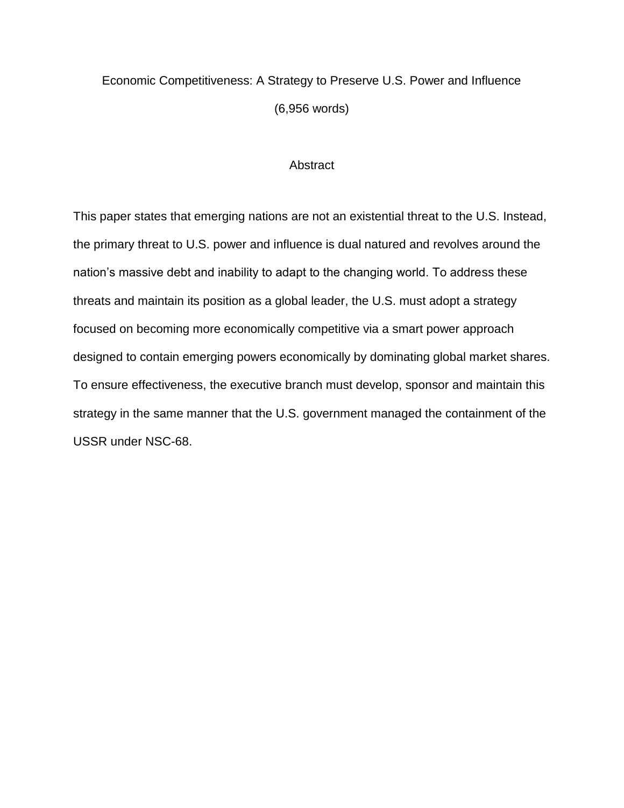# Economic Competitiveness: A Strategy to Preserve U.S. Power and Influence (6,956 words)

### **Abstract**

This paper states that emerging nations are not an existential threat to the U.S. Instead, the primary threat to U.S. power and influence is dual natured and revolves around the nation's massive debt and inability to adapt to the changing world. To address these threats and maintain its position as a global leader, the U.S. must adopt a strategy focused on becoming more economically competitive via a smart power approach designed to contain emerging powers economically by dominating global market shares. To ensure effectiveness, the executive branch must develop, sponsor and maintain this strategy in the same manner that the U.S. government managed the containment of the USSR under NSC-68.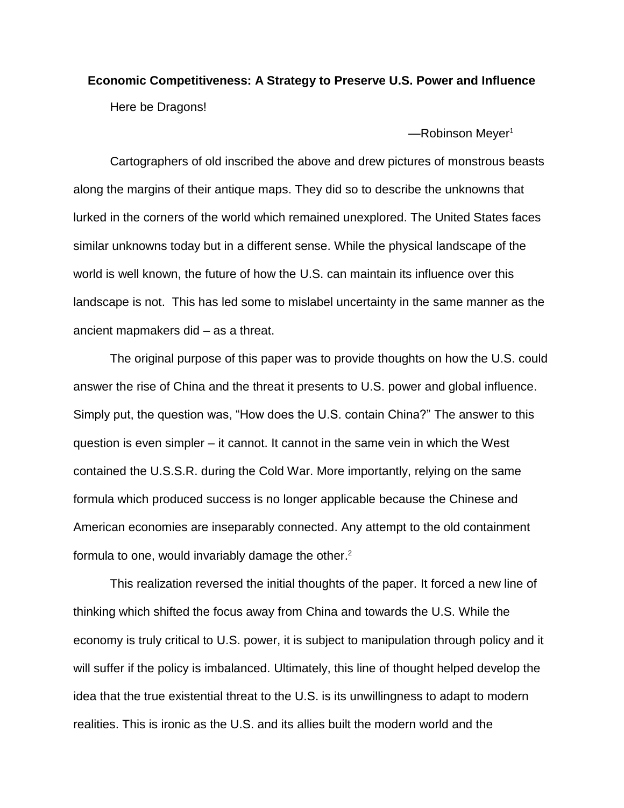## **Economic Competitiveness: A Strategy to Preserve U.S. Power and Influence**  Here be Dragons!

 $-$ Robinson Meyer<sup>1</sup>

Cartographers of old inscribed the above and drew pictures of monstrous beasts along the margins of their antique maps. They did so to describe the unknowns that lurked in the corners of the world which remained unexplored. The United States faces similar unknowns today but in a different sense. While the physical landscape of the world is well known, the future of how the U.S. can maintain its influence over this landscape is not. This has led some to mislabel uncertainty in the same manner as the ancient mapmakers did – as a threat.

The original purpose of this paper was to provide thoughts on how the U.S. could answer the rise of China and the threat it presents to U.S. power and global influence. Simply put, the question was, "How does the U.S. contain China?" The answer to this question is even simpler – it cannot. It cannot in the same vein in which the West contained the U.S.S.R. during the Cold War. More importantly, relying on the same formula which produced success is no longer applicable because the Chinese and American economies are inseparably connected. Any attempt to the old containment formula to one, would invariably damage the other. 2

This realization reversed the initial thoughts of the paper. It forced a new line of thinking which shifted the focus away from China and towards the U.S. While the economy is truly critical to U.S. power, it is subject to manipulation through policy and it will suffer if the policy is imbalanced. Ultimately, this line of thought helped develop the idea that the true existential threat to the U.S. is its unwillingness to adapt to modern realities. This is ironic as the U.S. and its allies built the modern world and the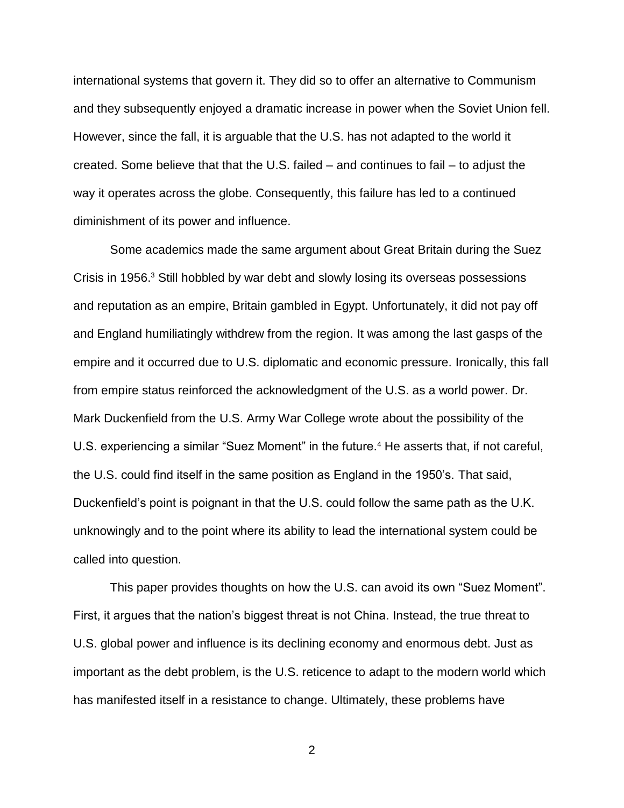international systems that govern it. They did so to offer an alternative to Communism and they subsequently enjoyed a dramatic increase in power when the Soviet Union fell. However, since the fall, it is arguable that the U.S. has not adapted to the world it created. Some believe that that the U.S. failed – and continues to fail – to adjust the way it operates across the globe. Consequently, this failure has led to a continued diminishment of its power and influence.

Some academics made the same argument about Great Britain during the Suez Crisis in 1956.<sup>3</sup> Still hobbled by war debt and slowly losing its overseas possessions and reputation as an empire, Britain gambled in Egypt. Unfortunately, it did not pay off and England humiliatingly withdrew from the region. It was among the last gasps of the empire and it occurred due to U.S. diplomatic and economic pressure. Ironically, this fall from empire status reinforced the acknowledgment of the U.S. as a world power. Dr. Mark Duckenfield from the U.S. Army War College wrote about the possibility of the U.S. experiencing a similar "Suez Moment" in the future.<sup>4</sup> He asserts that, if not careful, the U.S. could find itself in the same position as England in the 1950's. That said, Duckenfield's point is poignant in that the U.S. could follow the same path as the U.K. unknowingly and to the point where its ability to lead the international system could be called into question.

This paper provides thoughts on how the U.S. can avoid its own "Suez Moment". First, it argues that the nation's biggest threat is not China. Instead, the true threat to U.S. global power and influence is its declining economy and enormous debt. Just as important as the debt problem, is the U.S. reticence to adapt to the modern world which has manifested itself in a resistance to change. Ultimately, these problems have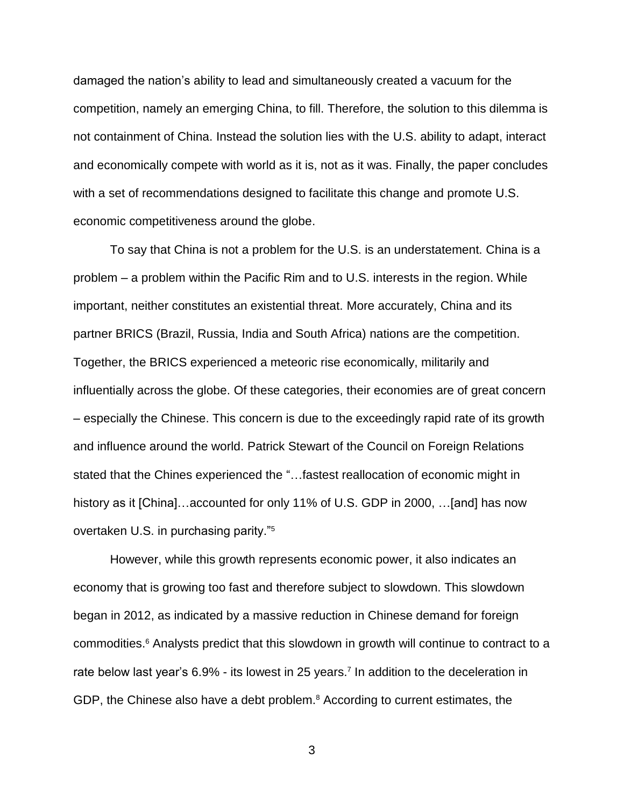damaged the nation's ability to lead and simultaneously created a vacuum for the competition, namely an emerging China, to fill. Therefore, the solution to this dilemma is not containment of China. Instead the solution lies with the U.S. ability to adapt, interact and economically compete with world as it is, not as it was. Finally, the paper concludes with a set of recommendations designed to facilitate this change and promote U.S. economic competitiveness around the globe.

To say that China is not a problem for the U.S. is an understatement. China is a problem – a problem within the Pacific Rim and to U.S. interests in the region. While important, neither constitutes an existential threat. More accurately, China and its partner BRICS (Brazil, Russia, India and South Africa) nations are the competition. Together, the BRICS experienced a meteoric rise economically, militarily and influentially across the globe. Of these categories, their economies are of great concern – especially the Chinese. This concern is due to the exceedingly rapid rate of its growth and influence around the world. Patrick Stewart of the Council on Foreign Relations stated that the Chines experienced the "…fastest reallocation of economic might in history as it [China]…accounted for only 11% of U.S. GDP in 2000, ...[and] has now overtaken U.S. in purchasing parity."<sup>5</sup>

However, while this growth represents economic power, it also indicates an economy that is growing too fast and therefore subject to slowdown. This slowdown began in 2012, as indicated by a massive reduction in Chinese demand for foreign commodities.<sup>6</sup> Analysts predict that this slowdown in growth will continue to contract to a rate below last year's 6.9% - its lowest in 25 years. 7 In addition to the deceleration in GDP, the Chinese also have a debt problem.<sup>8</sup> According to current estimates, the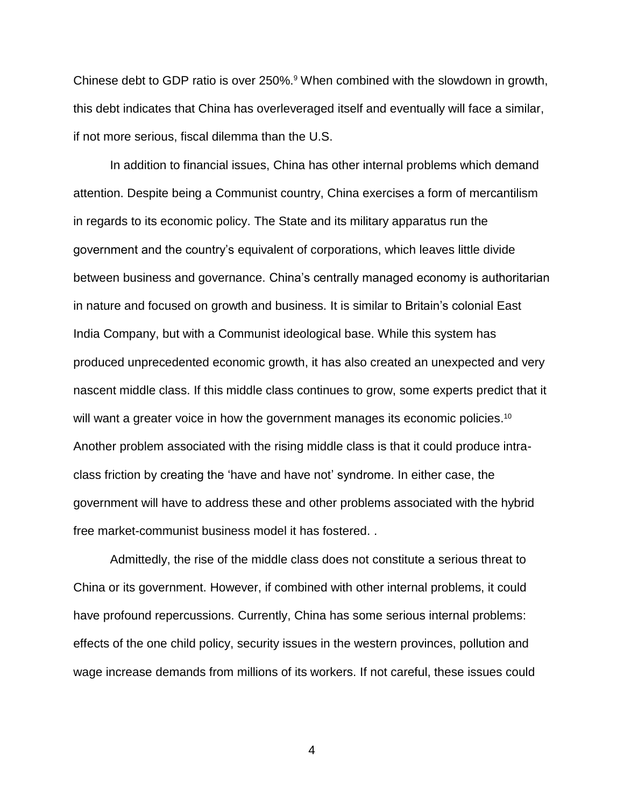Chinese debt to GDP ratio is over 250%.<sup>9</sup> When combined with the slowdown in growth, this debt indicates that China has overleveraged itself and eventually will face a similar, if not more serious, fiscal dilemma than the U.S.

In addition to financial issues, China has other internal problems which demand attention. Despite being a Communist country, China exercises a form of mercantilism in regards to its economic policy. The State and its military apparatus run the government and the country's equivalent of corporations, which leaves little divide between business and governance. China's centrally managed economy is authoritarian in nature and focused on growth and business. It is similar to Britain's colonial East India Company, but with a Communist ideological base. While this system has produced unprecedented economic growth, it has also created an unexpected and very nascent middle class. If this middle class continues to grow, some experts predict that it will want a greater voice in how the government manages its economic policies.<sup>10</sup> Another problem associated with the rising middle class is that it could produce intraclass friction by creating the 'have and have not' syndrome. In either case, the government will have to address these and other problems associated with the hybrid free market-communist business model it has fostered. .

Admittedly, the rise of the middle class does not constitute a serious threat to China or its government. However, if combined with other internal problems, it could have profound repercussions. Currently, China has some serious internal problems: effects of the one child policy, security issues in the western provinces, pollution and wage increase demands from millions of its workers. If not careful, these issues could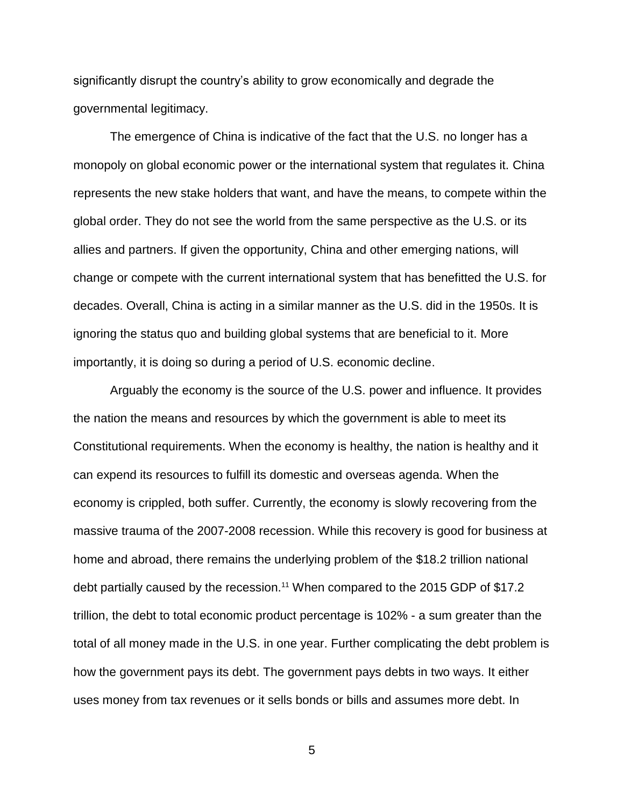significantly disrupt the country's ability to grow economically and degrade the governmental legitimacy.

The emergence of China is indicative of the fact that the U.S. no longer has a monopoly on global economic power or the international system that regulates it. China represents the new stake holders that want, and have the means, to compete within the global order. They do not see the world from the same perspective as the U.S. or its allies and partners. If given the opportunity, China and other emerging nations, will change or compete with the current international system that has benefitted the U.S. for decades. Overall, China is acting in a similar manner as the U.S. did in the 1950s. It is ignoring the status quo and building global systems that are beneficial to it. More importantly, it is doing so during a period of U.S. economic decline.

Arguably the economy is the source of the U.S. power and influence. It provides the nation the means and resources by which the government is able to meet its Constitutional requirements. When the economy is healthy, the nation is healthy and it can expend its resources to fulfill its domestic and overseas agenda. When the economy is crippled, both suffer. Currently, the economy is slowly recovering from the massive trauma of the 2007-2008 recession. While this recovery is good for business at home and abroad, there remains the underlying problem of the \$18.2 trillion national debt partially caused by the recession.<sup>11</sup> When compared to the 2015 GDP of \$17.2 trillion, the debt to total economic product percentage is 102% - a sum greater than the total of all money made in the U.S. in one year. Further complicating the debt problem is how the government pays its debt. The government pays debts in two ways. It either uses money from tax revenues or it sells bonds or bills and assumes more debt. In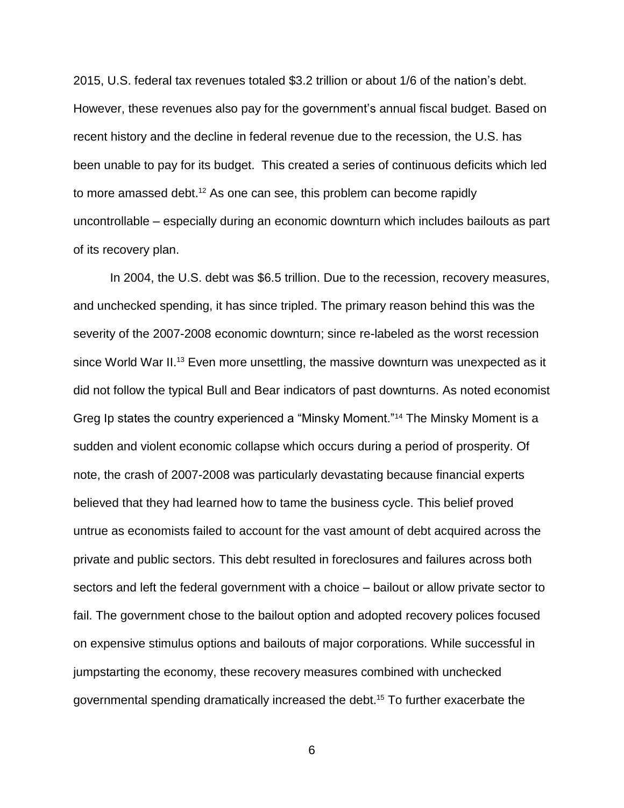2015, U.S. federal tax revenues totaled \$3.2 trillion or about 1/6 of the nation's debt. However, these revenues also pay for the government's annual fiscal budget. Based on recent history and the decline in federal revenue due to the recession, the U.S. has been unable to pay for its budget. This created a series of continuous deficits which led to more amassed debt.<sup>12</sup> As one can see, this problem can become rapidly uncontrollable – especially during an economic downturn which includes bailouts as part of its recovery plan.

In 2004, the U.S. debt was \$6.5 trillion. Due to the recession, recovery measures, and unchecked spending, it has since tripled. The primary reason behind this was the severity of the 2007-2008 economic downturn; since re-labeled as the worst recession since World War II.<sup>13</sup> Even more unsettling, the massive downturn was unexpected as it did not follow the typical Bull and Bear indicators of past downturns. As noted economist Greg Ip states the country experienced a "Minsky Moment."<sup>14</sup> The Minsky Moment is a sudden and violent economic collapse which occurs during a period of prosperity. Of note, the crash of 2007-2008 was particularly devastating because financial experts believed that they had learned how to tame the business cycle. This belief proved untrue as economists failed to account for the vast amount of debt acquired across the private and public sectors. This debt resulted in foreclosures and failures across both sectors and left the federal government with a choice – bailout or allow private sector to fail. The government chose to the bailout option and adopted recovery polices focused on expensive stimulus options and bailouts of major corporations. While successful in jumpstarting the economy, these recovery measures combined with unchecked governmental spending dramatically increased the debt. <sup>15</sup> To further exacerbate the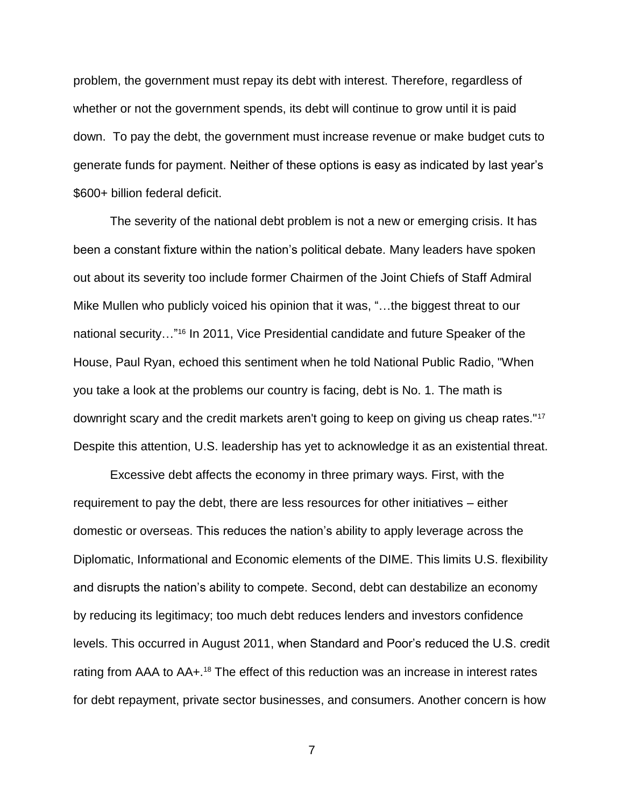problem, the government must repay its debt with interest. Therefore, regardless of whether or not the government spends, its debt will continue to grow until it is paid down. To pay the debt, the government must increase revenue or make budget cuts to generate funds for payment. Neither of these options is easy as indicated by last year's \$600+ billion federal deficit.

The severity of the national debt problem is not a new or emerging crisis. It has been a constant fixture within the nation's political debate. Many leaders have spoken out about its severity too include former Chairmen of the Joint Chiefs of Staff Admiral Mike Mullen who publicly voiced his opinion that it was, "…the biggest threat to our national security…" <sup>16</sup> In 2011, Vice Presidential candidate and future Speaker of the House, Paul Ryan, echoed this sentiment when he told National Public Radio, "When you take a look at the problems our country is facing, debt is No. 1. The math is downright scary and the credit markets aren't going to keep on giving us cheap rates."<sup>17</sup> Despite this attention, U.S. leadership has yet to acknowledge it as an existential threat.

Excessive debt affects the economy in three primary ways. First, with the requirement to pay the debt, there are less resources for other initiatives – either domestic or overseas. This reduces the nation's ability to apply leverage across the Diplomatic, Informational and Economic elements of the DIME. This limits U.S. flexibility and disrupts the nation's ability to compete. Second, debt can destabilize an economy by reducing its legitimacy; too much debt reduces lenders and investors confidence levels. This occurred in August 2011, when Standard and Poor's reduced the U.S. credit rating from AAA to AA+.<sup>18</sup> The effect of this reduction was an increase in interest rates for debt repayment, private sector businesses, and consumers. Another concern is how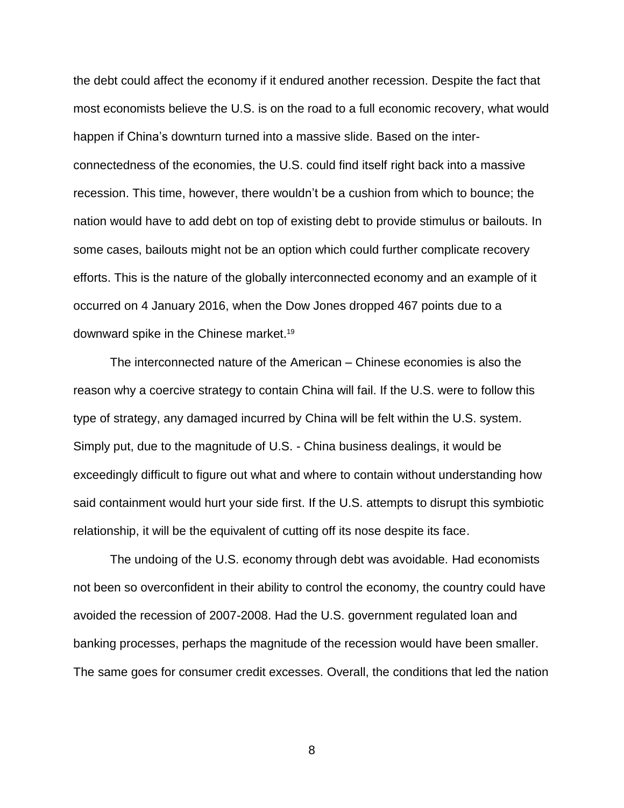the debt could affect the economy if it endured another recession. Despite the fact that most economists believe the U.S. is on the road to a full economic recovery, what would happen if China's downturn turned into a massive slide. Based on the interconnectedness of the economies, the U.S. could find itself right back into a massive recession. This time, however, there wouldn't be a cushion from which to bounce; the nation would have to add debt on top of existing debt to provide stimulus or bailouts. In some cases, bailouts might not be an option which could further complicate recovery efforts. This is the nature of the globally interconnected economy and an example of it occurred on 4 January 2016, when the Dow Jones dropped 467 points due to a downward spike in the Chinese market.<sup>19</sup>

The interconnected nature of the American – Chinese economies is also the reason why a coercive strategy to contain China will fail. If the U.S. were to follow this type of strategy, any damaged incurred by China will be felt within the U.S. system. Simply put, due to the magnitude of U.S. - China business dealings, it would be exceedingly difficult to figure out what and where to contain without understanding how said containment would hurt your side first. If the U.S. attempts to disrupt this symbiotic relationship, it will be the equivalent of cutting off its nose despite its face.

The undoing of the U.S. economy through debt was avoidable. Had economists not been so overconfident in their ability to control the economy, the country could have avoided the recession of 2007-2008. Had the U.S. government regulated loan and banking processes, perhaps the magnitude of the recession would have been smaller. The same goes for consumer credit excesses. Overall, the conditions that led the nation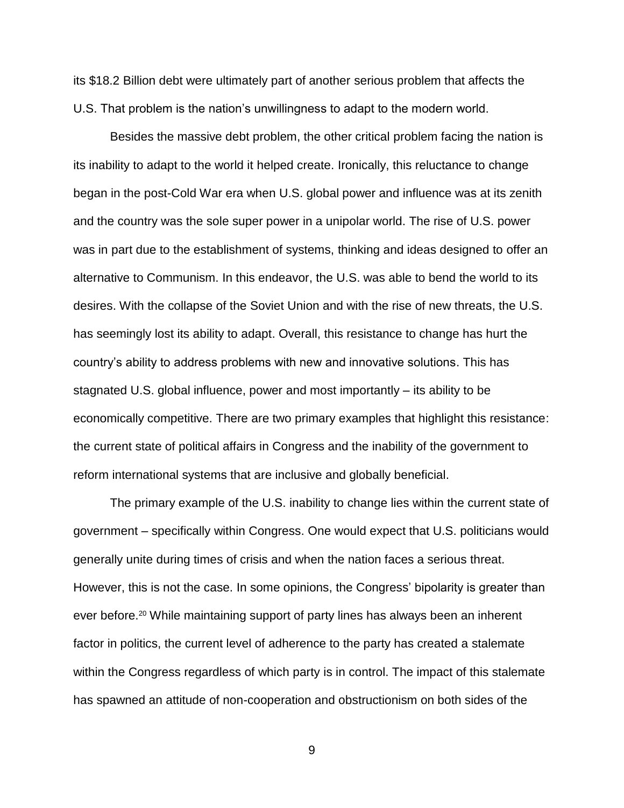its \$18.2 Billion debt were ultimately part of another serious problem that affects the U.S. That problem is the nation's unwillingness to adapt to the modern world.

Besides the massive debt problem, the other critical problem facing the nation is its inability to adapt to the world it helped create. Ironically, this reluctance to change began in the post-Cold War era when U.S. global power and influence was at its zenith and the country was the sole super power in a unipolar world. The rise of U.S. power was in part due to the establishment of systems, thinking and ideas designed to offer an alternative to Communism. In this endeavor, the U.S. was able to bend the world to its desires. With the collapse of the Soviet Union and with the rise of new threats, the U.S. has seemingly lost its ability to adapt. Overall, this resistance to change has hurt the country's ability to address problems with new and innovative solutions. This has stagnated U.S. global influence, power and most importantly – its ability to be economically competitive. There are two primary examples that highlight this resistance: the current state of political affairs in Congress and the inability of the government to reform international systems that are inclusive and globally beneficial.

The primary example of the U.S. inability to change lies within the current state of government – specifically within Congress. One would expect that U.S. politicians would generally unite during times of crisis and when the nation faces a serious threat. However, this is not the case. In some opinions, the Congress' bipolarity is greater than ever before.<sup>20</sup> While maintaining support of party lines has always been an inherent factor in politics, the current level of adherence to the party has created a stalemate within the Congress regardless of which party is in control. The impact of this stalemate has spawned an attitude of non-cooperation and obstructionism on both sides of the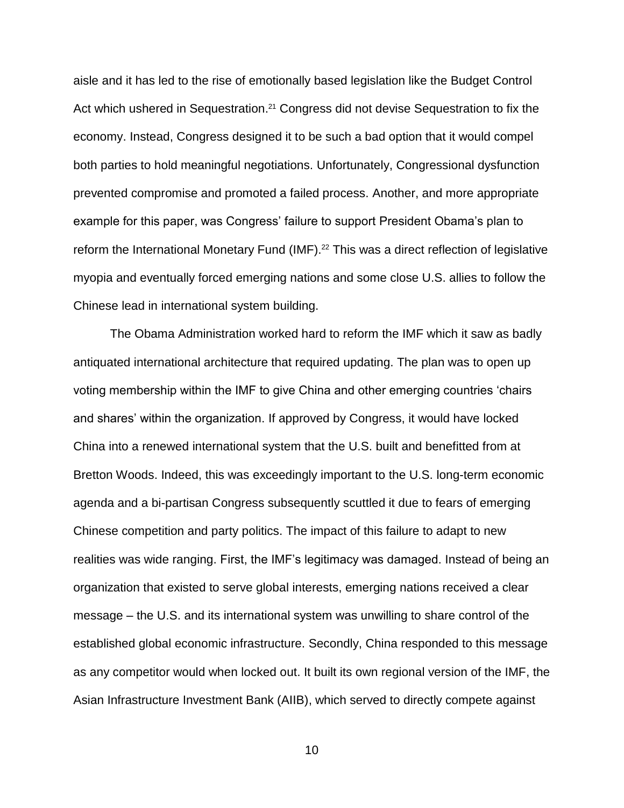aisle and it has led to the rise of emotionally based legislation like the Budget Control Act which ushered in Sequestration.<sup>21</sup> Congress did not devise Sequestration to fix the economy. Instead, Congress designed it to be such a bad option that it would compel both parties to hold meaningful negotiations. Unfortunately, Congressional dysfunction prevented compromise and promoted a failed process. Another, and more appropriate example for this paper, was Congress' failure to support President Obama's plan to reform the International Monetary Fund (IMF). <sup>22</sup> This was a direct reflection of legislative myopia and eventually forced emerging nations and some close U.S. allies to follow the Chinese lead in international system building.

The Obama Administration worked hard to reform the IMF which it saw as badly antiquated international architecture that required updating. The plan was to open up voting membership within the IMF to give China and other emerging countries 'chairs and shares' within the organization. If approved by Congress, it would have locked China into a renewed international system that the U.S. built and benefitted from at Bretton Woods. Indeed, this was exceedingly important to the U.S. long-term economic agenda and a bi-partisan Congress subsequently scuttled it due to fears of emerging Chinese competition and party politics. The impact of this failure to adapt to new realities was wide ranging. First, the IMF's legitimacy was damaged. Instead of being an organization that existed to serve global interests, emerging nations received a clear message – the U.S. and its international system was unwilling to share control of the established global economic infrastructure. Secondly, China responded to this message as any competitor would when locked out. It built its own regional version of the IMF, the Asian Infrastructure Investment Bank (AIIB), which served to directly compete against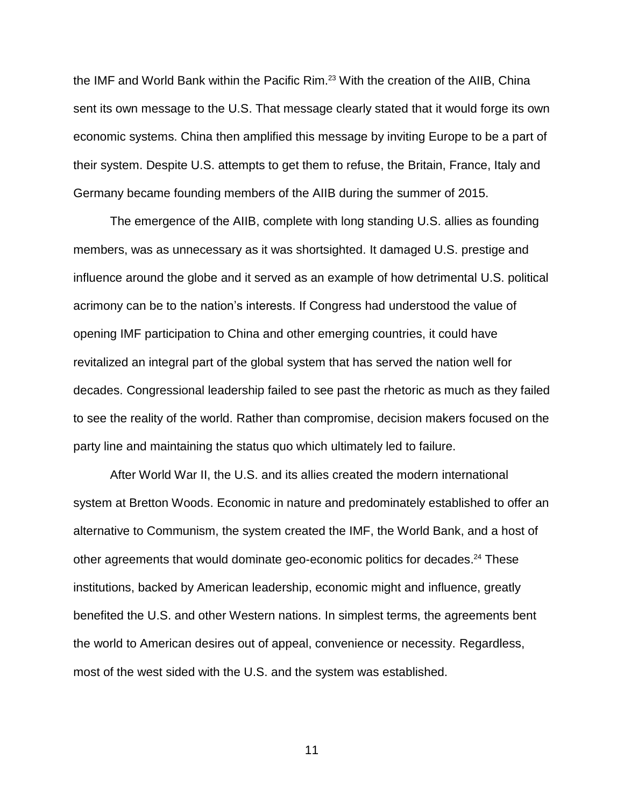the IMF and World Bank within the Pacific Rim.<sup>23</sup> With the creation of the AIIB, China sent its own message to the U.S. That message clearly stated that it would forge its own economic systems. China then amplified this message by inviting Europe to be a part of their system. Despite U.S. attempts to get them to refuse, the Britain, France, Italy and Germany became founding members of the AIIB during the summer of 2015.

The emergence of the AIIB, complete with long standing U.S. allies as founding members, was as unnecessary as it was shortsighted. It damaged U.S. prestige and influence around the globe and it served as an example of how detrimental U.S. political acrimony can be to the nation's interests. If Congress had understood the value of opening IMF participation to China and other emerging countries, it could have revitalized an integral part of the global system that has served the nation well for decades. Congressional leadership failed to see past the rhetoric as much as they failed to see the reality of the world. Rather than compromise, decision makers focused on the party line and maintaining the status quo which ultimately led to failure.

After World War II, the U.S. and its allies created the modern international system at Bretton Woods. Economic in nature and predominately established to offer an alternative to Communism, the system created the IMF, the World Bank, and a host of other agreements that would dominate geo-economic politics for decades.<sup>24</sup> These institutions, backed by American leadership, economic might and influence, greatly benefited the U.S. and other Western nations. In simplest terms, the agreements bent the world to American desires out of appeal, convenience or necessity. Regardless, most of the west sided with the U.S. and the system was established.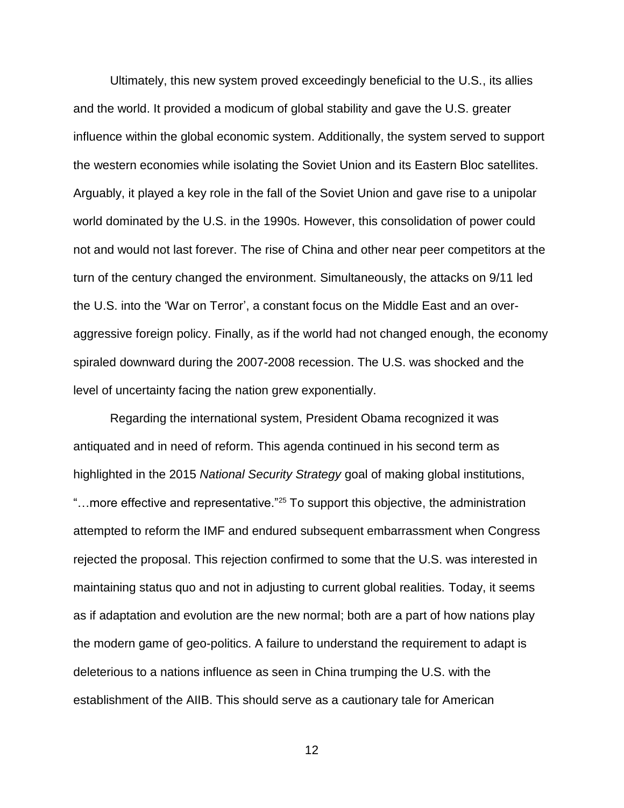Ultimately, this new system proved exceedingly beneficial to the U.S., its allies and the world. It provided a modicum of global stability and gave the U.S. greater influence within the global economic system. Additionally, the system served to support the western economies while isolating the Soviet Union and its Eastern Bloc satellites. Arguably, it played a key role in the fall of the Soviet Union and gave rise to a unipolar world dominated by the U.S. in the 1990s. However, this consolidation of power could not and would not last forever. The rise of China and other near peer competitors at the turn of the century changed the environment. Simultaneously, the attacks on 9/11 led the U.S. into the 'War on Terror', a constant focus on the Middle East and an overaggressive foreign policy. Finally, as if the world had not changed enough, the economy spiraled downward during the 2007-2008 recession. The U.S. was shocked and the level of uncertainty facing the nation grew exponentially.

Regarding the international system, President Obama recognized it was antiquated and in need of reform. This agenda continued in his second term as highlighted in the 2015 *National Security Strategy* goal of making global institutions, "...more effective and representative."<sup>25</sup> To support this objective, the administration attempted to reform the IMF and endured subsequent embarrassment when Congress rejected the proposal. This rejection confirmed to some that the U.S. was interested in maintaining status quo and not in adjusting to current global realities. Today, it seems as if adaptation and evolution are the new normal; both are a part of how nations play the modern game of geo-politics. A failure to understand the requirement to adapt is deleterious to a nations influence as seen in China trumping the U.S. with the establishment of the AIIB. This should serve as a cautionary tale for American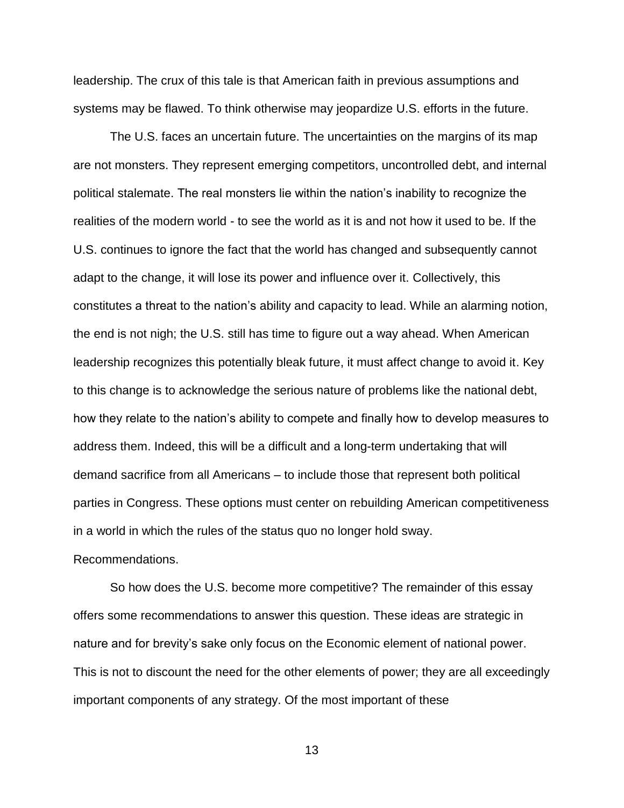leadership. The crux of this tale is that American faith in previous assumptions and systems may be flawed. To think otherwise may jeopardize U.S. efforts in the future.

The U.S. faces an uncertain future. The uncertainties on the margins of its map are not monsters. They represent emerging competitors, uncontrolled debt, and internal political stalemate. The real monsters lie within the nation's inability to recognize the realities of the modern world - to see the world as it is and not how it used to be. If the U.S. continues to ignore the fact that the world has changed and subsequently cannot adapt to the change, it will lose its power and influence over it. Collectively, this constitutes a threat to the nation's ability and capacity to lead. While an alarming notion, the end is not nigh; the U.S. still has time to figure out a way ahead. When American leadership recognizes this potentially bleak future, it must affect change to avoid it. Key to this change is to acknowledge the serious nature of problems like the national debt, how they relate to the nation's ability to compete and finally how to develop measures to address them. Indeed, this will be a difficult and a long-term undertaking that will demand sacrifice from all Americans – to include those that represent both political parties in Congress. These options must center on rebuilding American competitiveness in a world in which the rules of the status quo no longer hold sway.

Recommendations.

So how does the U.S. become more competitive? The remainder of this essay offers some recommendations to answer this question. These ideas are strategic in nature and for brevity's sake only focus on the Economic element of national power. This is not to discount the need for the other elements of power; they are all exceedingly important components of any strategy. Of the most important of these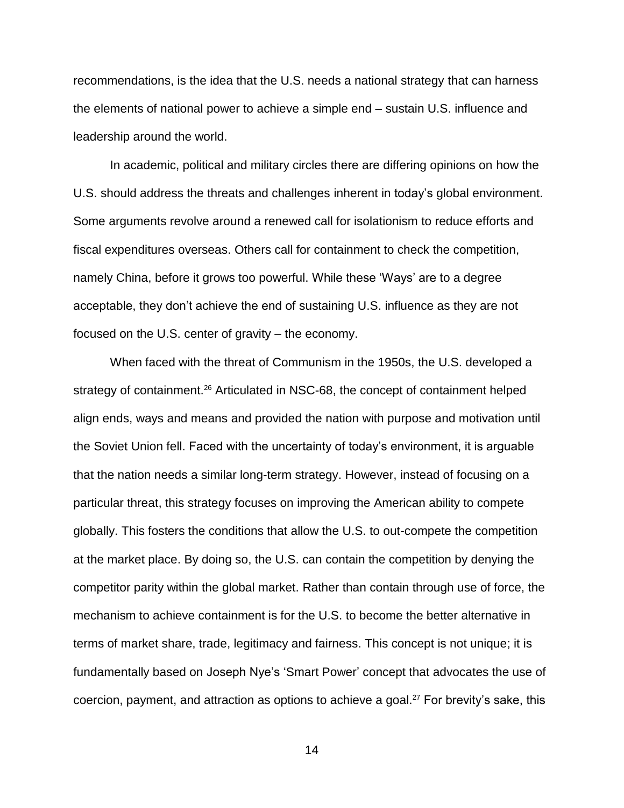recommendations, is the idea that the U.S. needs a national strategy that can harness the elements of national power to achieve a simple end – sustain U.S. influence and leadership around the world.

In academic, political and military circles there are differing opinions on how the U.S. should address the threats and challenges inherent in today's global environment. Some arguments revolve around a renewed call for isolationism to reduce efforts and fiscal expenditures overseas. Others call for containment to check the competition, namely China, before it grows too powerful. While these 'Ways' are to a degree acceptable, they don't achieve the end of sustaining U.S. influence as they are not focused on the U.S. center of gravity – the economy.

When faced with the threat of Communism in the 1950s, the U.S. developed a strategy of containment.<sup>26</sup> Articulated in NSC-68, the concept of containment helped align ends, ways and means and provided the nation with purpose and motivation until the Soviet Union fell. Faced with the uncertainty of today's environment, it is arguable that the nation needs a similar long-term strategy. However, instead of focusing on a particular threat, this strategy focuses on improving the American ability to compete globally. This fosters the conditions that allow the U.S. to out-compete the competition at the market place. By doing so, the U.S. can contain the competition by denying the competitor parity within the global market. Rather than contain through use of force, the mechanism to achieve containment is for the U.S. to become the better alternative in terms of market share, trade, legitimacy and fairness. This concept is not unique; it is fundamentally based on Joseph Nye's 'Smart Power' concept that advocates the use of coercion, payment, and attraction as options to achieve a goal.<sup>27</sup> For brevity's sake, this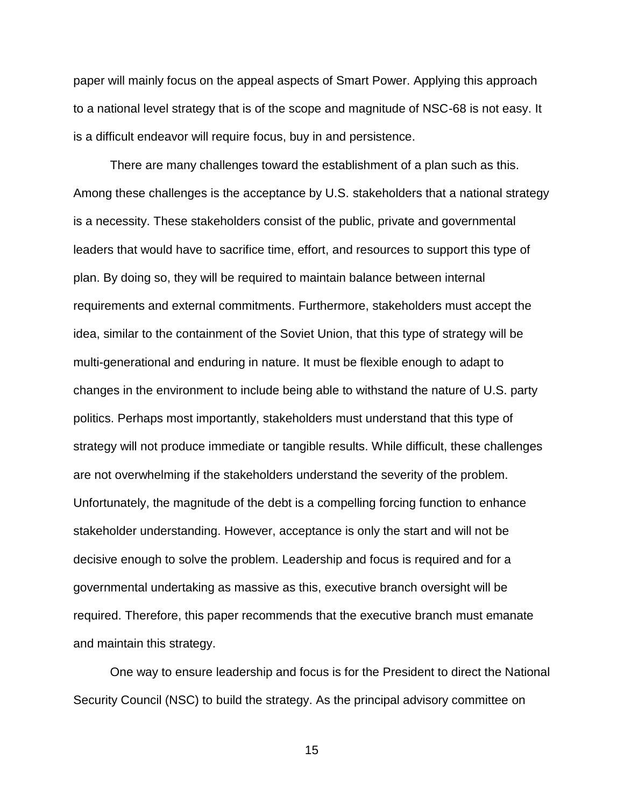paper will mainly focus on the appeal aspects of Smart Power. Applying this approach to a national level strategy that is of the scope and magnitude of NSC-68 is not easy. It is a difficult endeavor will require focus, buy in and persistence.

There are many challenges toward the establishment of a plan such as this. Among these challenges is the acceptance by U.S. stakeholders that a national strategy is a necessity. These stakeholders consist of the public, private and governmental leaders that would have to sacrifice time, effort, and resources to support this type of plan. By doing so, they will be required to maintain balance between internal requirements and external commitments. Furthermore, stakeholders must accept the idea, similar to the containment of the Soviet Union, that this type of strategy will be multi-generational and enduring in nature. It must be flexible enough to adapt to changes in the environment to include being able to withstand the nature of U.S. party politics. Perhaps most importantly, stakeholders must understand that this type of strategy will not produce immediate or tangible results. While difficult, these challenges are not overwhelming if the stakeholders understand the severity of the problem. Unfortunately, the magnitude of the debt is a compelling forcing function to enhance stakeholder understanding. However, acceptance is only the start and will not be decisive enough to solve the problem. Leadership and focus is required and for a governmental undertaking as massive as this, executive branch oversight will be required. Therefore, this paper recommends that the executive branch must emanate and maintain this strategy.

One way to ensure leadership and focus is for the President to direct the National Security Council (NSC) to build the strategy. As the principal advisory committee on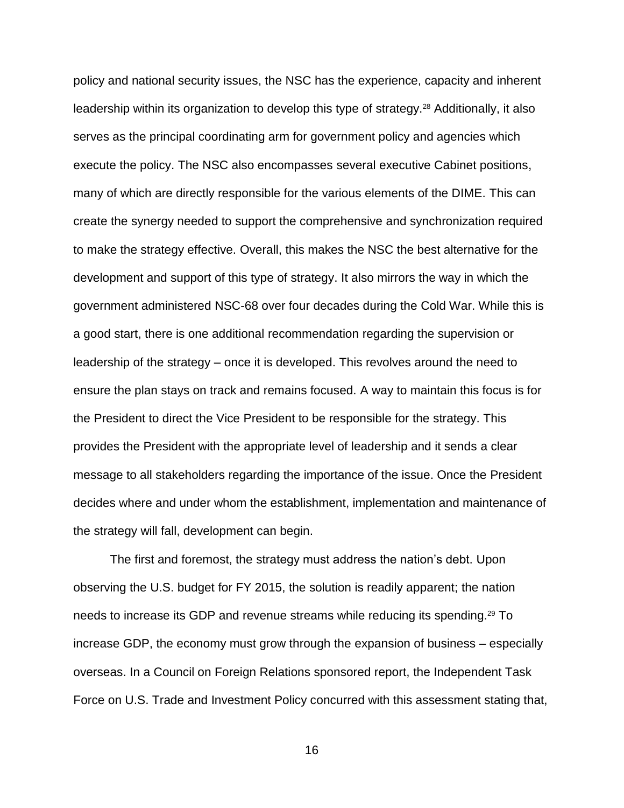policy and national security issues, the NSC has the experience, capacity and inherent leadership within its organization to develop this type of strategy.<sup>28</sup> Additionally, it also serves as the principal coordinating arm for government policy and agencies which execute the policy. The NSC also encompasses several executive Cabinet positions, many of which are directly responsible for the various elements of the DIME. This can create the synergy needed to support the comprehensive and synchronization required to make the strategy effective. Overall, this makes the NSC the best alternative for the development and support of this type of strategy. It also mirrors the way in which the government administered NSC-68 over four decades during the Cold War. While this is a good start, there is one additional recommendation regarding the supervision or leadership of the strategy – once it is developed. This revolves around the need to ensure the plan stays on track and remains focused. A way to maintain this focus is for the President to direct the Vice President to be responsible for the strategy. This provides the President with the appropriate level of leadership and it sends a clear message to all stakeholders regarding the importance of the issue. Once the President decides where and under whom the establishment, implementation and maintenance of the strategy will fall, development can begin.

The first and foremost, the strategy must address the nation's debt. Upon observing the U.S. budget for FY 2015, the solution is readily apparent; the nation needs to increase its GDP and revenue streams while reducing its spending. <sup>29</sup> To increase GDP, the economy must grow through the expansion of business – especially overseas. In a Council on Foreign Relations sponsored report, the Independent Task Force on U.S. Trade and Investment Policy concurred with this assessment stating that,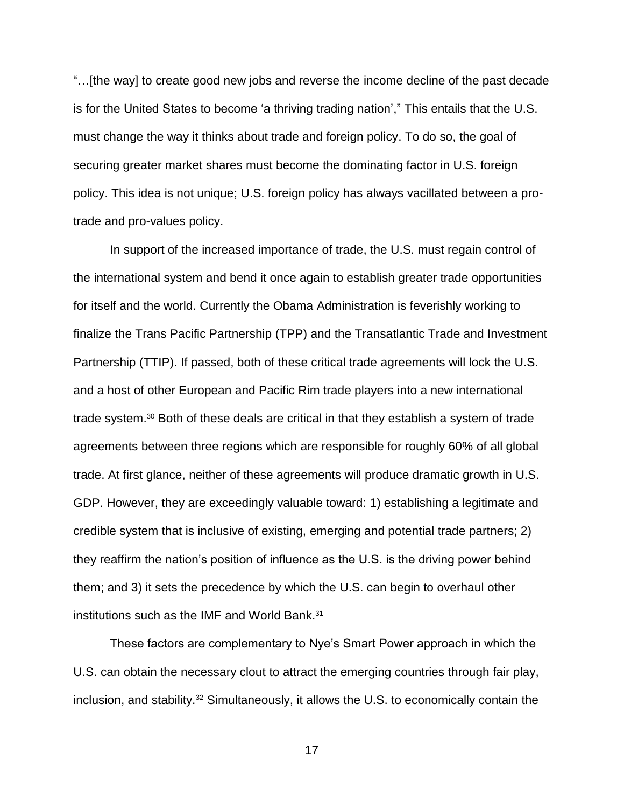"…[the way] to create good new jobs and reverse the income decline of the past decade is for the United States to become 'a thriving trading nation'," This entails that the U.S. must change the way it thinks about trade and foreign policy. To do so, the goal of securing greater market shares must become the dominating factor in U.S. foreign policy. This idea is not unique; U.S. foreign policy has always vacillated between a protrade and pro-values policy.

In support of the increased importance of trade, the U.S. must regain control of the international system and bend it once again to establish greater trade opportunities for itself and the world. Currently the Obama Administration is feverishly working to finalize the Trans Pacific Partnership (TPP) and the Transatlantic Trade and Investment Partnership (TTIP). If passed, both of these critical trade agreements will lock the U.S. and a host of other European and Pacific Rim trade players into a new international trade system.<sup>30</sup> Both of these deals are critical in that they establish a system of trade agreements between three regions which are responsible for roughly 60% of all global trade. At first glance, neither of these agreements will produce dramatic growth in U.S. GDP. However, they are exceedingly valuable toward: 1) establishing a legitimate and credible system that is inclusive of existing, emerging and potential trade partners; 2) they reaffirm the nation's position of influence as the U.S. is the driving power behind them; and 3) it sets the precedence by which the U.S. can begin to overhaul other institutions such as the IMF and World Bank.<sup>31</sup>

These factors are complementary to Nye's Smart Power approach in which the U.S. can obtain the necessary clout to attract the emerging countries through fair play, inclusion, and stability.<sup>32</sup> Simultaneously, it allows the U.S. to economically contain the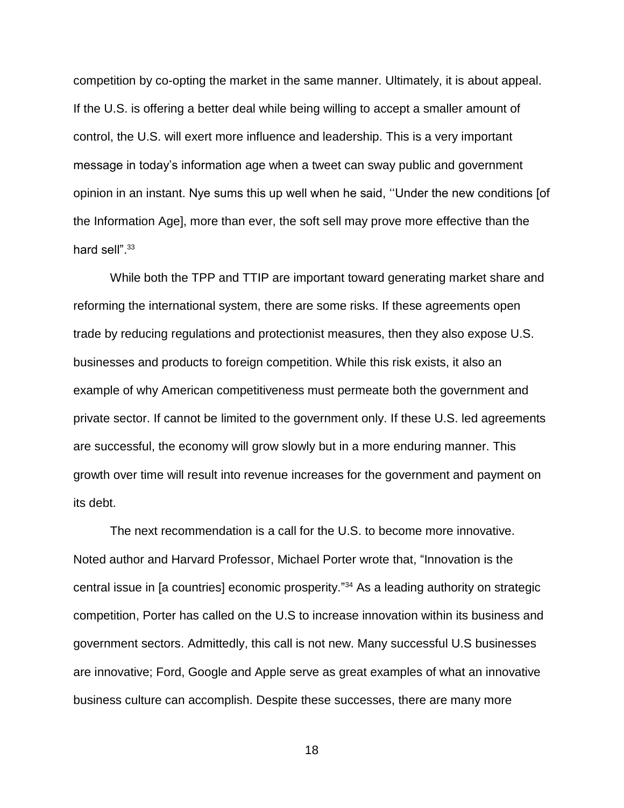competition by co-opting the market in the same manner. Ultimately, it is about appeal. If the U.S. is offering a better deal while being willing to accept a smaller amount of control, the U.S. will exert more influence and leadership. This is a very important message in today's information age when a tweet can sway public and government opinion in an instant. Nye sums this up well when he said, ''Under the new conditions [of the Information Age], more than ever, the soft sell may prove more effective than the hard sell".<sup>33</sup>

While both the TPP and TTIP are important toward generating market share and reforming the international system, there are some risks. If these agreements open trade by reducing regulations and protectionist measures, then they also expose U.S. businesses and products to foreign competition. While this risk exists, it also an example of why American competitiveness must permeate both the government and private sector. If cannot be limited to the government only. If these U.S. led agreements are successful, the economy will grow slowly but in a more enduring manner. This growth over time will result into revenue increases for the government and payment on its debt.

The next recommendation is a call for the U.S. to become more innovative. Noted author and Harvard Professor, Michael Porter wrote that, "Innovation is the central issue in [a countries] economic prosperity." <sup>34</sup> As a leading authority on strategic competition, Porter has called on the U.S to increase innovation within its business and government sectors. Admittedly, this call is not new. Many successful U.S businesses are innovative; Ford, Google and Apple serve as great examples of what an innovative business culture can accomplish. Despite these successes, there are many more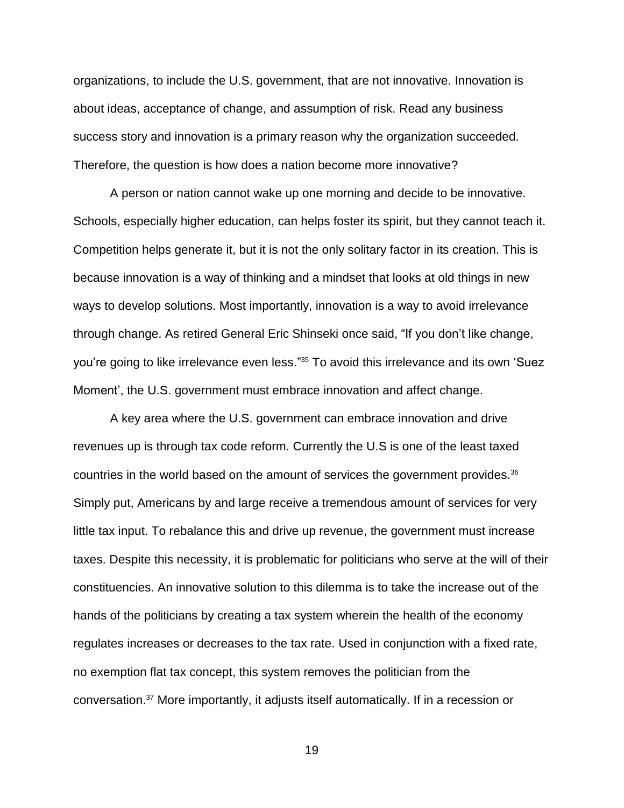organizations, to include the U.S. government, that are not innovative. Innovation is about ideas, acceptance of change, and assumption of risk. Read any business success story and innovation is a primary reason why the organization succeeded. Therefore, the question is how does a nation become more innovative?

A person or nation cannot wake up one morning and decide to be innovative. Schools, especially higher education, can helps foster its spirit, but they cannot teach it. Competition helps generate it, but it is not the only solitary factor in its creation. This is because innovation is a way of thinking and a mindset that looks at old things in new ways to develop solutions. Most importantly, innovation is a way to avoid irrelevance through change. As retired General Eric Shinseki once said, "If you don't like change, you're going to like irrelevance even less."<sup>35</sup> To avoid this irrelevance and its own 'Suez Moment', the U.S. government must embrace innovation and affect change.

A key area where the U.S. government can embrace innovation and drive revenues up is through tax code reform. Currently the U.S is one of the least taxed countries in the world based on the amount of services the government provides. 36 Simply put, Americans by and large receive a tremendous amount of services for very little tax input. To rebalance this and drive up revenue, the government must increase taxes. Despite this necessity, it is problematic for politicians who serve at the will of their constituencies. An innovative solution to this dilemma is to take the increase out of the hands of the politicians by creating a tax system wherein the health of the economy regulates increases or decreases to the tax rate. Used in conjunction with a fixed rate, no exemption flat tax concept, this system removes the politician from the conversation.<sup>37</sup> More importantly, it adjusts itself automatically. If in a recession or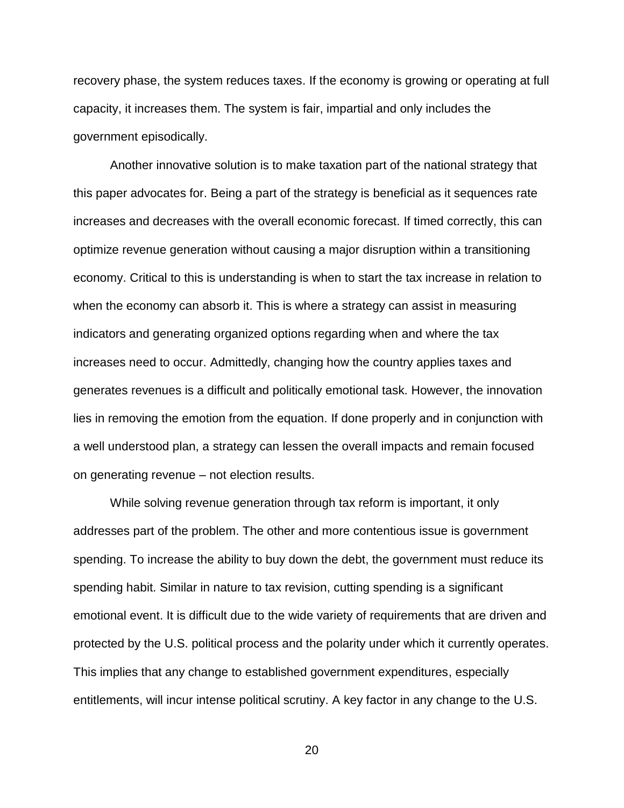recovery phase, the system reduces taxes. If the economy is growing or operating at full capacity, it increases them. The system is fair, impartial and only includes the government episodically.

Another innovative solution is to make taxation part of the national strategy that this paper advocates for. Being a part of the strategy is beneficial as it sequences rate increases and decreases with the overall economic forecast. If timed correctly, this can optimize revenue generation without causing a major disruption within a transitioning economy. Critical to this is understanding is when to start the tax increase in relation to when the economy can absorb it. This is where a strategy can assist in measuring indicators and generating organized options regarding when and where the tax increases need to occur. Admittedly, changing how the country applies taxes and generates revenues is a difficult and politically emotional task. However, the innovation lies in removing the emotion from the equation. If done properly and in conjunction with a well understood plan, a strategy can lessen the overall impacts and remain focused on generating revenue – not election results.

While solving revenue generation through tax reform is important, it only addresses part of the problem. The other and more contentious issue is government spending. To increase the ability to buy down the debt, the government must reduce its spending habit. Similar in nature to tax revision, cutting spending is a significant emotional event. It is difficult due to the wide variety of requirements that are driven and protected by the U.S. political process and the polarity under which it currently operates. This implies that any change to established government expenditures, especially entitlements, will incur intense political scrutiny. A key factor in any change to the U.S.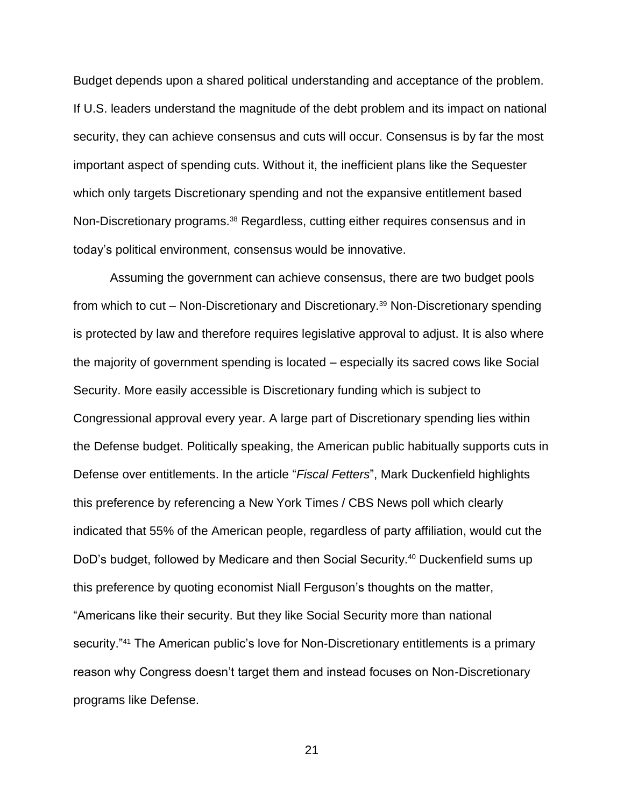Budget depends upon a shared political understanding and acceptance of the problem. If U.S. leaders understand the magnitude of the debt problem and its impact on national security, they can achieve consensus and cuts will occur. Consensus is by far the most important aspect of spending cuts. Without it, the inefficient plans like the Sequester which only targets Discretionary spending and not the expansive entitlement based Non-Discretionary programs.<sup>38</sup> Regardless, cutting either requires consensus and in today's political environment, consensus would be innovative.

Assuming the government can achieve consensus, there are two budget pools from which to cut – Non-Discretionary and Discretionary.<sup>39</sup> Non-Discretionary spending is protected by law and therefore requires legislative approval to adjust. It is also where the majority of government spending is located – especially its sacred cows like Social Security. More easily accessible is Discretionary funding which is subject to Congressional approval every year. A large part of Discretionary spending lies within the Defense budget. Politically speaking, the American public habitually supports cuts in Defense over entitlements. In the article "*Fiscal Fetters*", Mark Duckenfield highlights this preference by referencing a New York Times / CBS News poll which clearly indicated that 55% of the American people, regardless of party affiliation, would cut the DoD's budget, followed by Medicare and then Social Security.<sup>40</sup> Duckenfield sums up this preference by quoting economist Niall Ferguson's thoughts on the matter, "Americans like their security. But they like Social Security more than national security."<sup>41</sup> The American public's love for Non-Discretionary entitlements is a primary reason why Congress doesn't target them and instead focuses on Non-Discretionary programs like Defense.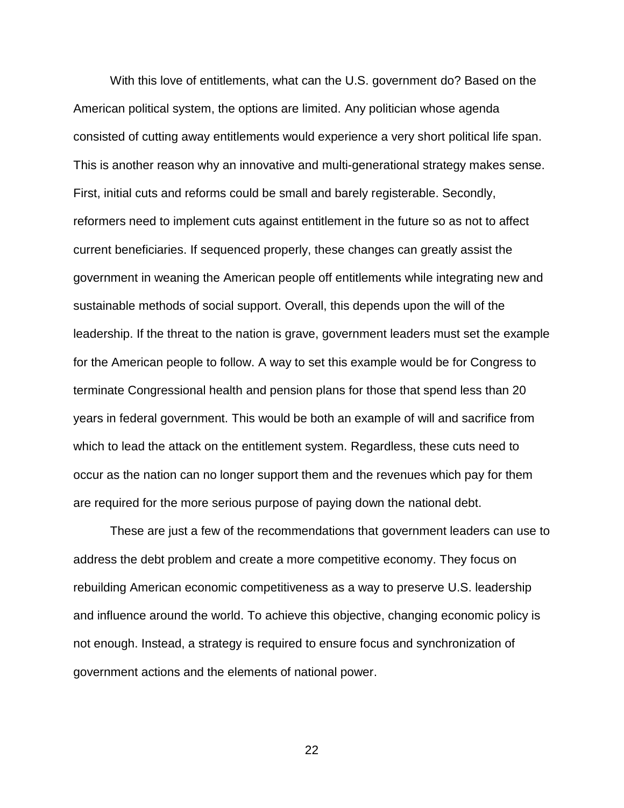With this love of entitlements, what can the U.S. government do? Based on the American political system, the options are limited. Any politician whose agenda consisted of cutting away entitlements would experience a very short political life span. This is another reason why an innovative and multi-generational strategy makes sense. First, initial cuts and reforms could be small and barely registerable. Secondly, reformers need to implement cuts against entitlement in the future so as not to affect current beneficiaries. If sequenced properly, these changes can greatly assist the government in weaning the American people off entitlements while integrating new and sustainable methods of social support. Overall, this depends upon the will of the leadership. If the threat to the nation is grave, government leaders must set the example for the American people to follow. A way to set this example would be for Congress to terminate Congressional health and pension plans for those that spend less than 20 years in federal government. This would be both an example of will and sacrifice from which to lead the attack on the entitlement system. Regardless, these cuts need to occur as the nation can no longer support them and the revenues which pay for them are required for the more serious purpose of paying down the national debt.

These are just a few of the recommendations that government leaders can use to address the debt problem and create a more competitive economy. They focus on rebuilding American economic competitiveness as a way to preserve U.S. leadership and influence around the world. To achieve this objective, changing economic policy is not enough. Instead, a strategy is required to ensure focus and synchronization of government actions and the elements of national power.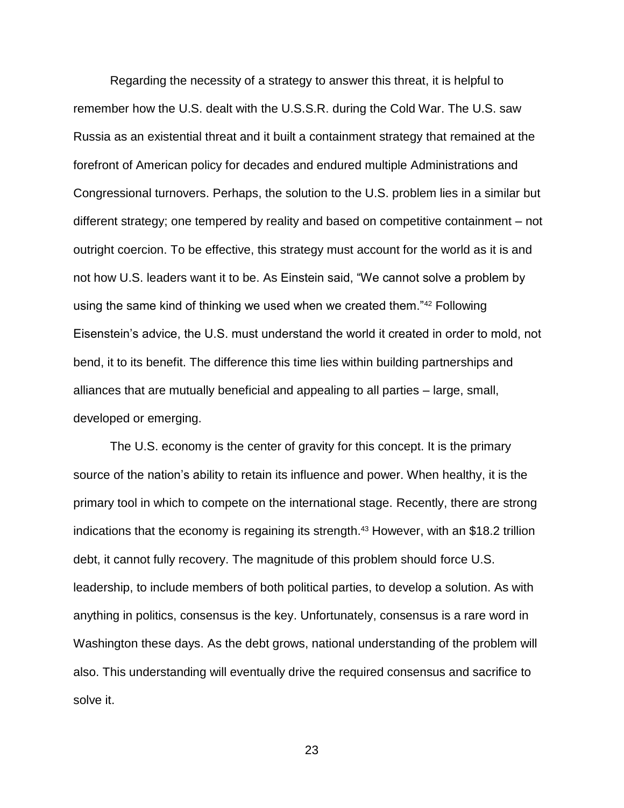Regarding the necessity of a strategy to answer this threat, it is helpful to remember how the U.S. dealt with the U.S.S.R. during the Cold War. The U.S. saw Russia as an existential threat and it built a containment strategy that remained at the forefront of American policy for decades and endured multiple Administrations and Congressional turnovers. Perhaps, the solution to the U.S. problem lies in a similar but different strategy; one tempered by reality and based on competitive containment – not outright coercion. To be effective, this strategy must account for the world as it is and not how U.S. leaders want it to be. As Einstein said, "We cannot solve a problem by using the same kind of thinking we used when we created them."<sup>42</sup> Following Eisenstein's advice, the U.S. must understand the world it created in order to mold, not bend, it to its benefit. The difference this time lies within building partnerships and alliances that are mutually beneficial and appealing to all parties – large, small, developed or emerging.

The U.S. economy is the center of gravity for this concept. It is the primary source of the nation's ability to retain its influence and power. When healthy, it is the primary tool in which to compete on the international stage. Recently, there are strong indications that the economy is regaining its strength. <sup>43</sup> However, with an \$18.2 trillion debt, it cannot fully recovery. The magnitude of this problem should force U.S. leadership, to include members of both political parties, to develop a solution. As with anything in politics, consensus is the key. Unfortunately, consensus is a rare word in Washington these days. As the debt grows, national understanding of the problem will also. This understanding will eventually drive the required consensus and sacrifice to solve it.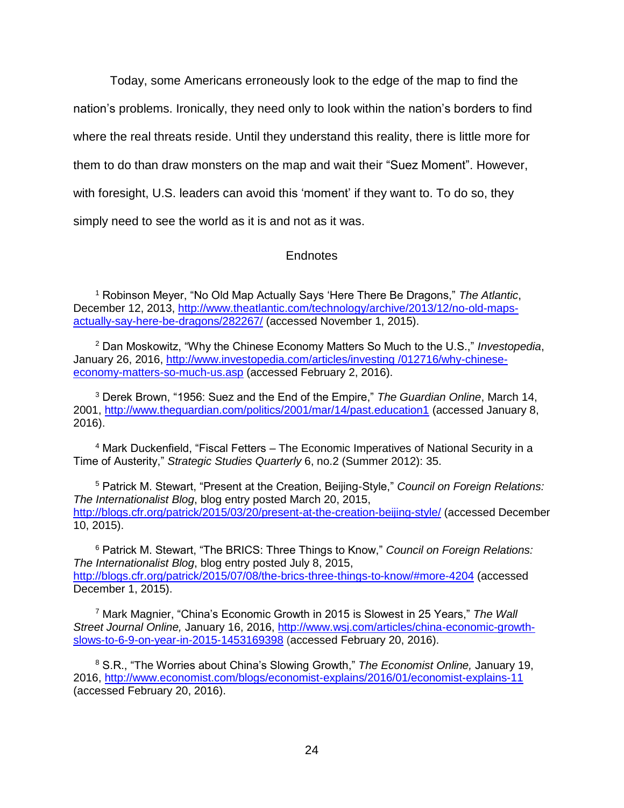Today, some Americans erroneously look to the edge of the map to find the nation's problems. Ironically, they need only to look within the nation's borders to find where the real threats reside. Until they understand this reality, there is little more for them to do than draw monsters on the map and wait their "Suez Moment". However, with foresight, U.S. leaders can avoid this 'moment' if they want to. To do so, they simply need to see the world as it is and not as it was.

### Endnotes

<sup>1</sup> Robinson Meyer, "No Old Map Actually Says 'Here There Be Dragons," *The Atlantic*, December 12, 2013, [http://www.theatlantic.com/technology/archive/2013/12/no-old-maps](http://www.theatlantic.com/technology/archive/2013/12/no-old-maps-actually-say-here-be-dragons/282267/)[actually-say-here-be-dragons/282267/](http://www.theatlantic.com/technology/archive/2013/12/no-old-maps-actually-say-here-be-dragons/282267/) (accessed November 1, 2015).

<sup>2</sup> Dan Moskowitz, "Why the Chinese Economy Matters So Much to the U.S.," *Investopedia*, January 26, 2016, [http://www.investopedia.com/articles/investing /012716/why-chinese](http://www.investopedia.com/articles/investing%20/012716/why-chinese-economy-matters-so-much-us.asp)[economy-matters-so-much-us.asp](http://www.investopedia.com/articles/investing%20/012716/why-chinese-economy-matters-so-much-us.asp) (accessed February 2, 2016).

<sup>3</sup> Derek Brown, "1956: Suez and the End of the Empire," *The Guardian Online*, March 14, 2001,<http://www.theguardian.com/politics/2001/mar/14/past.education1> (accessed January 8, 2016).

<sup>4</sup> Mark Duckenfield, "Fiscal Fetters – The Economic Imperatives of National Security in a Time of Austerity," *Strategic Studies Quarterly* 6, no.2 (Summer 2012): 35.

<sup>5</sup> Patrick M. Stewart, "Present at the Creation, Beijing-Style," *Council on Foreign Relations: The Internationalist Blog*, blog entry posted March 20, 2015, <http://blogs.cfr.org/patrick/2015/03/20/present-at-the-creation-beijing-style/> (accessed December 10, 2015).

<sup>6</sup> Patrick M. Stewart, "The BRICS: Three Things to Know," *Council on Foreign Relations: The Internationalist Blog*, blog entry posted July 8, 2015, <http://blogs.cfr.org/patrick/2015/07/08/the-brics-three-things-to-know/#more-4204> (accessed December 1, 2015).

<sup>7</sup> Mark Magnier, "China's Economic Growth in 2015 is Slowest in 25 Years," *The Wall Street Journal Online,* January 16, 2016, [http://www.wsj.com/articles/china-economic-growth](http://www.wsj.com/articles/china-economic-growth-slows-to-6-9-on-year-in-2015-1453169398)[slows-to-6-9-on-year-in-2015-1453169398](http://www.wsj.com/articles/china-economic-growth-slows-to-6-9-on-year-in-2015-1453169398) (accessed February 20, 2016).

<sup>8</sup> S.R., "The Worries about China's Slowing Growth," *The Economist Online,* January 19, 2016,<http://www.economist.com/blogs/economist-explains/2016/01/economist-explains-11> (accessed February 20, 2016).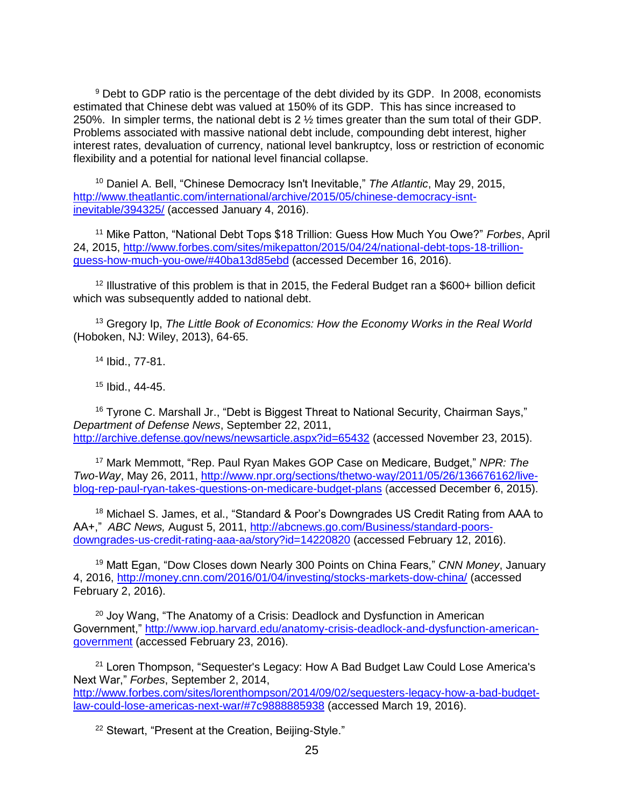<sup>9</sup> Debt to GDP ratio is the percentage of the debt divided by its GDP. In 2008, economists estimated that Chinese debt was valued at 150% of its GDP. This has since increased to 250%. In simpler terms, the national debt is 2 ½ times greater than the sum total of their GDP. Problems associated with massive national debt include, compounding debt interest, higher interest rates, devaluation of currency, national level bankruptcy, loss or restriction of economic flexibility and a potential for national level financial collapse.

<sup>10</sup> Daniel A. Bell, "Chinese Democracy Isn't Inevitable," *The Atlantic*, May 29, 2015, [http://www.theatlantic.com/international/archive/2015/05/chinese-democracy-isnt](http://www.theatlantic.com/international/archive/2015/05/chinese-democracy-isnt-inevitable/394325/)[inevitable/394325/](http://www.theatlantic.com/international/archive/2015/05/chinese-democracy-isnt-inevitable/394325/) (accessed January 4, 2016).

<sup>11</sup> Mike Patton, "National Debt Tops \$18 Trillion: Guess How Much You Owe?" *Forbes*, April 24, 2015, [http://www.forbes.com/sites/mikepatton/2015/04/24/national-debt-tops-18-trillion](http://www.forbes.com/sites/mikepatton/2015/04/24/national-debt-tops-18-trillion-guess-how-much-you-owe/#40ba13d85ebd)[guess-how-much-you-owe/#40ba13d85ebd](http://www.forbes.com/sites/mikepatton/2015/04/24/national-debt-tops-18-trillion-guess-how-much-you-owe/#40ba13d85ebd) (accessed December 16, 2016).

 $12$  Illustrative of this problem is that in 2015, the Federal Budget ran a \$600+ billion deficit which was subsequently added to national debt.

<sup>13</sup> Gregory Ip, *The Little Book of Economics: How the Economy Works in the Real World*  (Hoboken, NJ: Wiley, 2013), 64-65.

<sup>14</sup> Ibid., 77-81.

<sup>15</sup> Ibid., 44-45.

<sup>16</sup> Tyrone C. Marshall Jr., "Debt is Biggest Threat to National Security, Chairman Says," *Department of Defense News*, September 22, 2011, <http://archive.defense.gov/news/newsarticle.aspx?id=65432> (accessed November 23, 2015).

<sup>17</sup> Mark Memmott, "Rep. Paul Ryan Makes GOP Case on Medicare, Budget," *NPR: The Two-Way*, May 26, 2011, [http://www.npr.org/sections/thetwo-way/2011/05/26/136676162/live](http://www.npr.org/sections/thetwo-way/2011/05/26/136676162/live-blog-rep-paul-ryan-takes-questions-on-medicare-budget-plans)[blog-rep-paul-ryan-takes-questions-on-medicare-budget-plans](http://www.npr.org/sections/thetwo-way/2011/05/26/136676162/live-blog-rep-paul-ryan-takes-questions-on-medicare-budget-plans) (accessed December 6, 2015).

<sup>18</sup> Michael S. James, et al., "Standard & Poor's Downgrades US Credit Rating from AAA to AA+," *ABC News,* August 5, 2011, [http://abcnews.go.com/Business/standard-poors](http://abcnews.go.com/Business/standard-poors-downgrades-us-credit-rating-aaa-aa/story?id=14220820)[downgrades-us-credit-rating-aaa-aa/story?id=14220820](http://abcnews.go.com/Business/standard-poors-downgrades-us-credit-rating-aaa-aa/story?id=14220820) (accessed February 12, 2016).

<sup>19</sup> Matt Egan, "Dow Closes down Nearly 300 Points on China Fears," *CNN Money*, January 4, 2016,<http://money.cnn.com/2016/01/04/investing/stocks-markets-dow-china/> (accessed February 2, 2016).

 $20$  Joy Wang, "The Anatomy of a Crisis: Deadlock and Dysfunction in American Government," [http://www.iop.harvard.edu/anatomy-crisis-deadlock-and-dysfunction-american](http://www.iop.harvard.edu/anatomy-crisis-deadlock-and-dysfunction-american-government)[government](http://www.iop.harvard.edu/anatomy-crisis-deadlock-and-dysfunction-american-government) (accessed February 23, 2016).

<sup>21</sup> Loren Thompson, "Sequester's Legacy: How A Bad Budget Law Could Lose America's Next War," *Forbes*, September 2, 2014, [http://www.forbes.com/sites/lorenthompson/2014/09/02/sequesters-legacy-how-a-bad-budget](http://www.forbes.com/sites/lorenthompson/2014/09/02/sequesters-legacy-how-a-bad-budget-law-could-lose-americas-next-war/#7c9888885938)[law-could-lose-americas-next-war/#7c9888885938](http://www.forbes.com/sites/lorenthompson/2014/09/02/sequesters-legacy-how-a-bad-budget-law-could-lose-americas-next-war/#7c9888885938) (accessed March 19, 2016).

<sup>22</sup> Stewart, "Present at the Creation, Beijing-Style."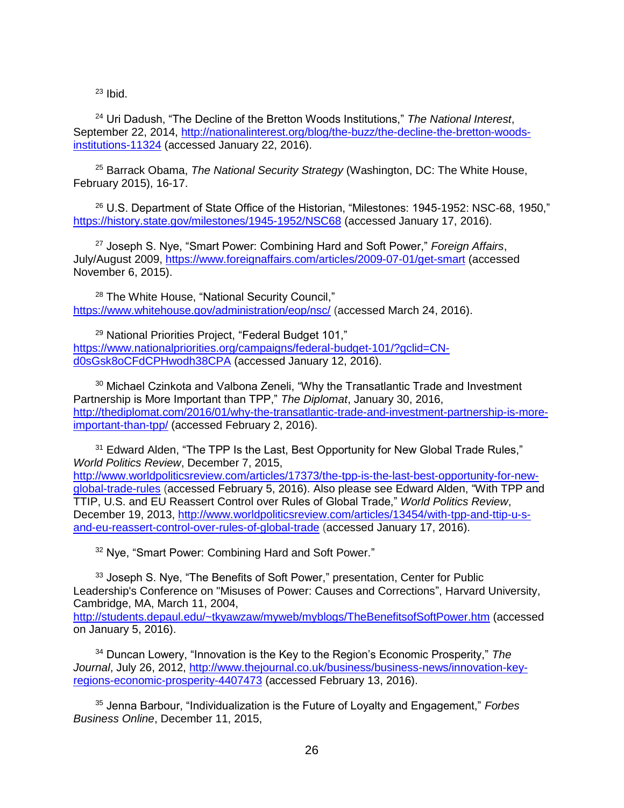$23$  Ibid.

<sup>24</sup> Uri Dadush, "The Decline of the Bretton Woods Institutions," *The National Interest*, September 22, 2014, [http://nationalinterest.org/blog/the-buzz/the-decline-the-bretton-woods](http://nationalinterest.org/blog/the-buzz/the-decline-the-bretton-woods-institutions-11324)[institutions-11324](http://nationalinterest.org/blog/the-buzz/the-decline-the-bretton-woods-institutions-11324) (accessed January 22, 2016).

<sup>25</sup> Barrack Obama, *The National Security Strategy* (Washington, DC: The White House, February 2015), 16-17.

<sup>26</sup> U.S. Department of State Office of the Historian, "Milestones: 1945-1952: NSC-68, 1950," <https://history.state.gov/milestones/1945-1952/NSC68> (accessed January 17, 2016).

<sup>27</sup> Joseph S. Nye, "Smart Power: Combining Hard and Soft Power," *Foreign Affairs*, July/August 2009,<https://www.foreignaffairs.com/articles/2009-07-01/get-smart> (accessed November 6, 2015).

<sup>28</sup> The White House, "National Security Council," <https://www.whitehouse.gov/administration/eop/nsc/> (accessed March 24, 2016).

<sup>29</sup> National Priorities Project, "Federal Budget 101," [https://www.nationalpriorities.org/campaigns/federal-budget-101/?gclid=CN](https://www.nationalpriorities.org/campaigns/federal-budget-101/?gclid=CN-d0sGsk8oCFdCPHwodh38CPA)[d0sGsk8oCFdCPHwodh38CPA](https://www.nationalpriorities.org/campaigns/federal-budget-101/?gclid=CN-d0sGsk8oCFdCPHwodh38CPA) (accessed January 12, 2016).

<sup>30</sup> Michael Czinkota and Valbona Zeneli, "Why the Transatlantic Trade and Investment Partnership is More Important than TPP," *The Diplomat*, January 30, 2016, [http://thediplomat.com/2016/01/why-the-transatlantic-trade-and-investment-partnership-is-more](http://thediplomat.com/2016/01/why-the-transatlantic-trade-and-investment-partnership-is-more-important-than-tpp/)[important-than-tpp/](http://thediplomat.com/2016/01/why-the-transatlantic-trade-and-investment-partnership-is-more-important-than-tpp/) (accessed February 2, 2016).

<sup>31</sup> Edward Alden, "The TPP Is the Last, Best Opportunity for New Global Trade Rules," *World Politics Review*, December 7, 2015, [http://www.worldpoliticsreview.com/articles/17373/the-tpp-is-the-last-best-opportunity-for-new-](http://www.worldpoliticsreview.com/articles/17373/the-tpp-is-the-last-best-opportunity-for-new-global-trade-rules)

[global-trade-rules](http://www.worldpoliticsreview.com/articles/17373/the-tpp-is-the-last-best-opportunity-for-new-global-trade-rules) (accessed February 5, 2016). Also please see Edward Alden, "With TPP and TTIP, U.S. and EU Reassert Control over Rules of Global Trade," *World Politics Review*, December 19, 2013, [http://www.worldpoliticsreview.com/articles/13454/with-tpp-and-ttip-u-s](http://www.worldpoliticsreview.com/articles/13454/with-tpp-and-ttip-u-s-and-eu-reassert-control-over-rules-of-global-trade)[and-eu-reassert-control-over-rules-of-global-trade](http://www.worldpoliticsreview.com/articles/13454/with-tpp-and-ttip-u-s-and-eu-reassert-control-over-rules-of-global-trade) (accessed January 17, 2016).

<sup>32</sup> Nye, "Smart Power: Combining Hard and Soft Power."

<sup>33</sup> Joseph S. Nye, "The Benefits of Soft Power," presentation, Center for Public Leadership's Conference on "Misuses of Power: Causes and Corrections", Harvard University, Cambridge, MA, March 11, 2004,

<http://students.depaul.edu/~tkyawzaw/myweb/myblogs/TheBenefitsofSoftPower.htm> (accessed on January 5, 2016).

<sup>34</sup> Duncan Lowery, "Innovation is the Key to the Region's Economic Prosperity," *The Journal*, July 26, 2012, [http://www.thejournal.co.uk/business/business-news/innovation-key](http://www.thejournal.co.uk/business/business-news/innovation-key-regions-economic-prosperity-4407473)[regions-economic-prosperity-4407473](http://www.thejournal.co.uk/business/business-news/innovation-key-regions-economic-prosperity-4407473) (accessed February 13, 2016).

<sup>35</sup> Jenna Barbour, "Individualization is the Future of Loyalty and Engagement," *Forbes Business Online*, December 11, 2015,